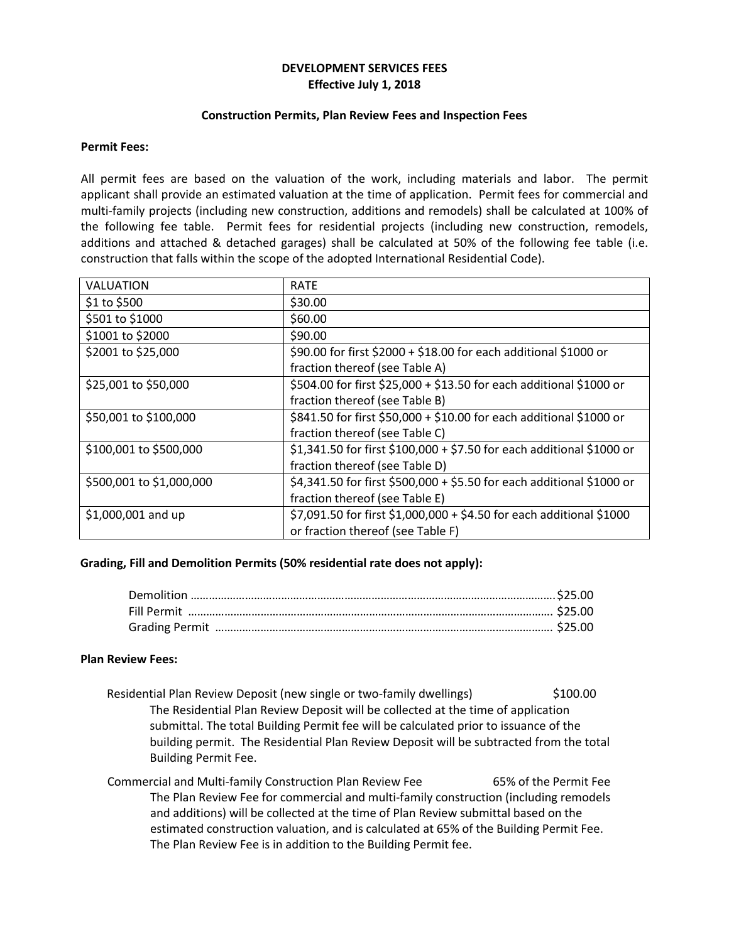# **DEVELOPMENT SERVICES FEES Effective July 1, 2018**

### **Construction Permits, Plan Review Fees and Inspection Fees**

## **Permit Fees:**

All permit fees are based on the valuation of the work, including materials and labor. The permit applicant shall provide an estimated valuation at the time of application. Permit fees for commercial and multi-family projects (including new construction, additions and remodels) shall be calculated at 100% of the following fee table. Permit fees for residential projects (including new construction, remodels, additions and attached & detached garages) shall be calculated at 50% of the following fee table (i.e. construction that falls within the scope of the adopted International Residential Code).

| VALUATION                | <b>RATE</b>                                                           |
|--------------------------|-----------------------------------------------------------------------|
| \$1 to \$500             | \$30.00                                                               |
| \$501 to \$1000          | \$60.00                                                               |
| \$1001 to \$2000         | \$90.00                                                               |
| \$2001 to \$25,000       | \$90.00 for first \$2000 + \$18.00 for each additional \$1000 or      |
|                          | fraction thereof (see Table A)                                        |
| \$25,001 to \$50,000     | \$504.00 for first \$25,000 + \$13.50 for each additional \$1000 or   |
|                          | fraction thereof (see Table B)                                        |
| \$50,001 to \$100,000    | \$841.50 for first \$50,000 + \$10.00 for each additional \$1000 or   |
|                          | fraction thereof (see Table C)                                        |
| \$100,001 to \$500,000   | \$1,341.50 for first \$100,000 + \$7.50 for each additional \$1000 or |
|                          | fraction thereof (see Table D)                                        |
| \$500,001 to \$1,000,000 | \$4,341.50 for first \$500,000 + \$5.50 for each additional \$1000 or |
|                          | fraction thereof (see Table E)                                        |
| $$1,000,001$ and up      | \$7,091.50 for first \$1,000,000 + \$4.50 for each additional \$1000  |
|                          | or fraction thereof (see Table F)                                     |

# **Grading, Fill and Demolition Permits (50% residential rate does not apply):**

#### **Plan Review Fees:**

- Residential Plan Review Deposit (new single or two-family dwellings) \$100.00 The Residential Plan Review Deposit will be collected at the time of application submittal. The total Building Permit fee will be calculated prior to issuance of the building permit. The Residential Plan Review Deposit will be subtracted from the total Building Permit Fee.
- Commercial and Multi-family Construction Plan Review Fee 65% of the Permit Fee The Plan Review Fee for commercial and multi-family construction (including remodels and additions) will be collected at the time of Plan Review submittal based on the estimated construction valuation, and is calculated at 65% of the Building Permit Fee. The Plan Review Fee is in addition to the Building Permit fee.